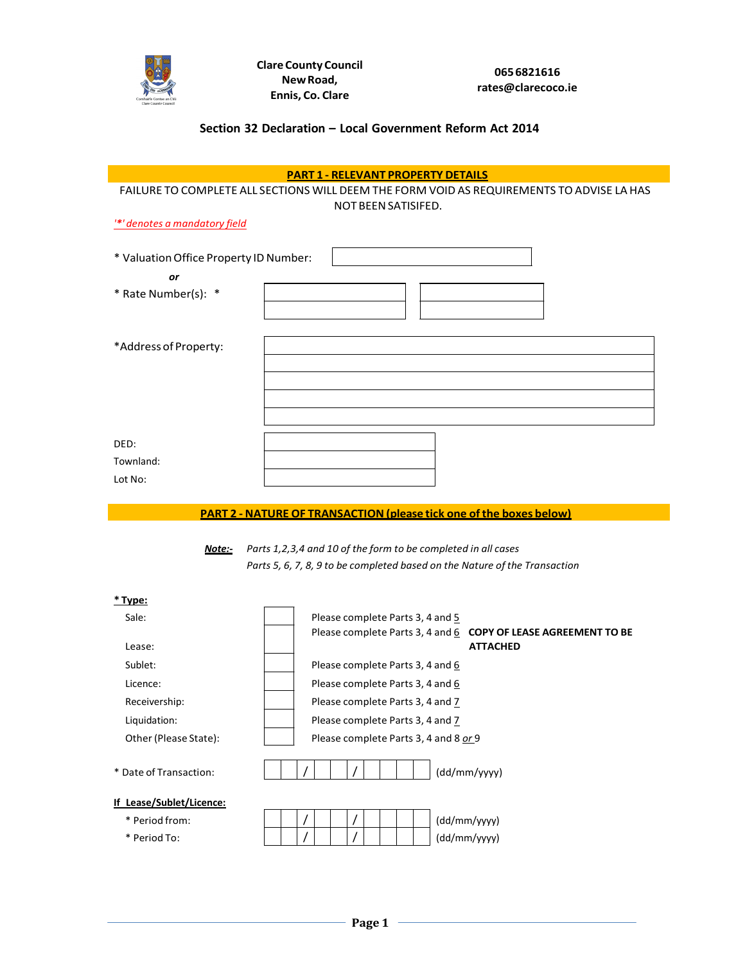

## **Section 32 Declaration – Local Government Reform Act 2014**

|                                        | <b>PART 1 - RELEVANT PROPERTY DETAILS</b>                                                 |
|----------------------------------------|-------------------------------------------------------------------------------------------|
|                                        | FAILURE TO COMPLETE ALL SECTIONS WILL DEEM THE FORM VOID AS REQUIREMENTS TO ADVISE LA HAS |
|                                        | NOT BEEN SATISIFED.                                                                       |
| "*' denotes a mandatory field          |                                                                                           |
|                                        |                                                                                           |
| * Valuation Office Property ID Number: |                                                                                           |
| or                                     |                                                                                           |
| * Rate Number(s): *                    |                                                                                           |
|                                        |                                                                                           |
|                                        |                                                                                           |
| *Address of Property:                  |                                                                                           |
|                                        |                                                                                           |
|                                        |                                                                                           |
|                                        |                                                                                           |
|                                        |                                                                                           |
|                                        |                                                                                           |
| DED:                                   |                                                                                           |
| Townland:                              |                                                                                           |
| Lot No:                                |                                                                                           |
|                                        | <b>PART 2 - NATURE OF TRANSACTION (please tick one of the boxes below)</b>                |
|                                        |                                                                                           |
| Note:-                                 | Parts 1, 2, 3, 4 and 10 of the form to be completed in all cases                          |
|                                        | Parts 5, 6, 7, 8, 9 to be completed based on the Nature of the Transaction                |
|                                        |                                                                                           |
| <u>* Type:</u>                         |                                                                                           |
| Sale:                                  | Please complete Parts 3, 4 and 5                                                          |
|                                        | Please complete Parts 3, 4 and 6<br>COPY OF LEASE AGREEMENT TO BE                         |
| Lease:                                 | <b>ATTACHED</b>                                                                           |
| Sublet:                                | Please complete Parts 3, 4 and 6                                                          |
| Licence:                               | Please complete Parts 3, 4 and 6                                                          |
| Receivership:                          | Please complete Parts 3, 4 and 7                                                          |
| Liquidation:                           | Please complete Parts 3, 4 and 7                                                          |
| Other (Please State):                  | Please complete Parts 3, 4 and 8 or 9                                                     |
|                                        |                                                                                           |
| * Date of Transaction:                 | (dd/mm/yyyy)                                                                              |
|                                        |                                                                                           |
|                                        |                                                                                           |
| If Lease/Sublet/Licence:               |                                                                                           |
| * Period from:                         | (dd/mm/yyyy)                                                                              |

- 
- \* Period To:

/ /

(dd/mm/yyyy)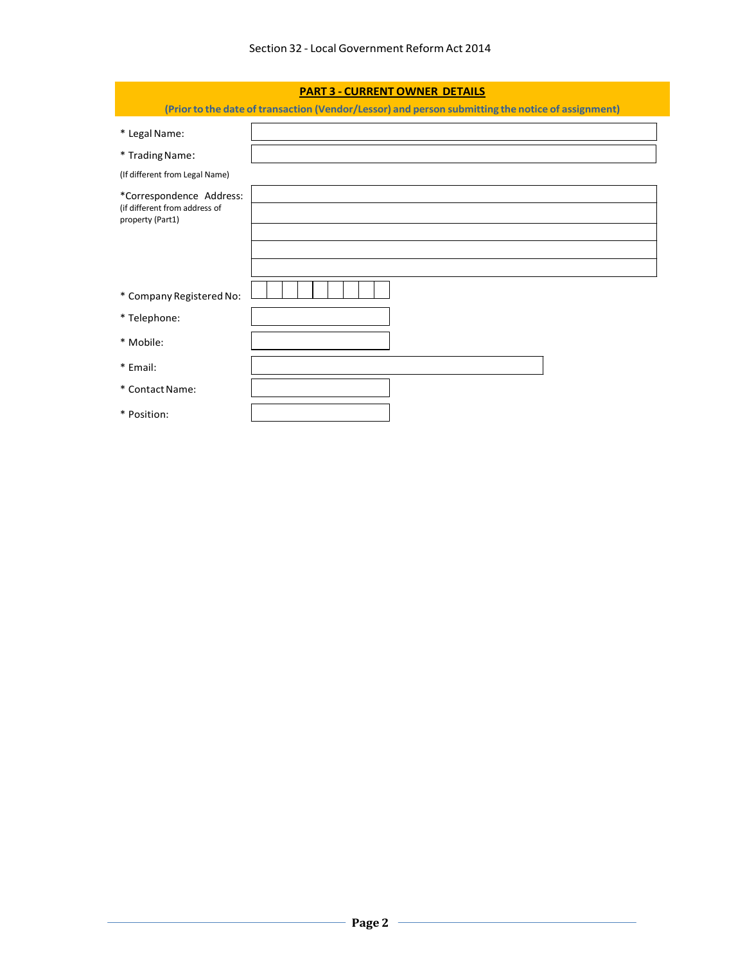| <b>PART 3 - CURRENT OWNER DETAILS</b>                                         |                                                                                                   |
|-------------------------------------------------------------------------------|---------------------------------------------------------------------------------------------------|
|                                                                               | (Prior to the date of transaction (Vendor/Lessor) and person submitting the notice of assignment) |
| * Legal Name:                                                                 |                                                                                                   |
| * Trading Name:                                                               |                                                                                                   |
| (If different from Legal Name)                                                |                                                                                                   |
| *Correspondence Address:<br>(if different from address of<br>property (Part1) |                                                                                                   |
|                                                                               |                                                                                                   |
| * Company Registered No:                                                      |                                                                                                   |
| * Telephone:                                                                  |                                                                                                   |
| * Mobile:                                                                     |                                                                                                   |
| * Email:                                                                      |                                                                                                   |
| * Contact Name:                                                               |                                                                                                   |
| * Position:                                                                   |                                                                                                   |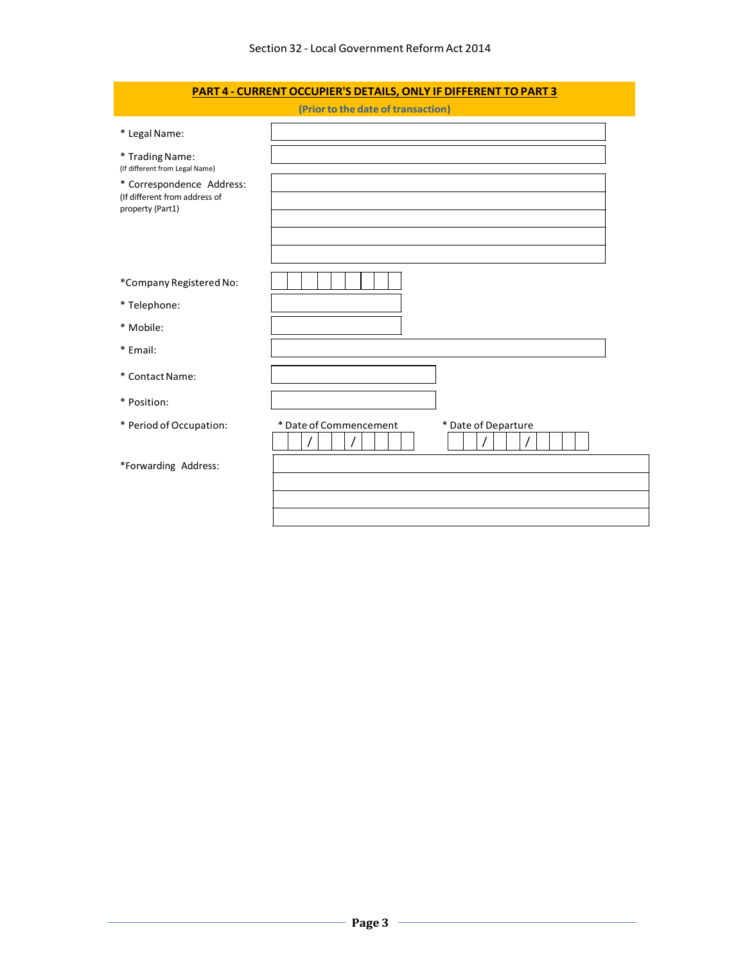| PART 4 - CURRENT OCCUPIER'S DETAILS, ONLY IF DIFFERENT TO PART 3         |  |
|--------------------------------------------------------------------------|--|
| (Prior to the date of transaction)                                       |  |
|                                                                          |  |
| (If different from Legal Name)                                           |  |
| * Correspondence Address:<br>(If different from address of               |  |
|                                                                          |  |
| *Company Registered No:                                                  |  |
|                                                                          |  |
|                                                                          |  |
|                                                                          |  |
|                                                                          |  |
|                                                                          |  |
| * Period of Occupation:<br>* Date of Commencement<br>* Date of Departure |  |
| *Forwarding Address:                                                     |  |
|                                                                          |  |
|                                                                          |  |
|                                                                          |  |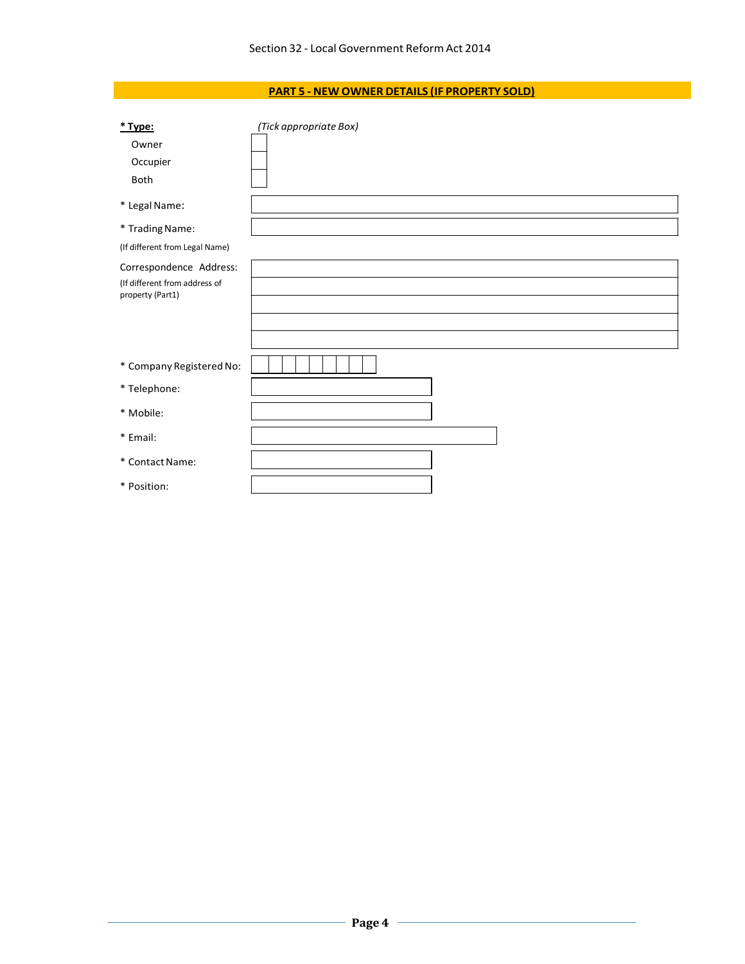## **PART 5 - NEW OWNER DETAILS (IF PROPERTY SOLD)**

| * Type:<br>Owner<br>Occupier<br>Both              | (Tick appropriate Box) |
|---------------------------------------------------|------------------------|
| * Legal Name:                                     |                        |
| * Trading Name:                                   |                        |
| (If different from Legal Name)                    |                        |
| Correspondence Address:                           |                        |
| (If different from address of<br>property (Part1) |                        |
| * Company Registered No:                          |                        |
| * Telephone:                                      |                        |
| * Mobile:                                         |                        |
| * Email:                                          |                        |
| * Contact Name:                                   |                        |
| * Position:                                       |                        |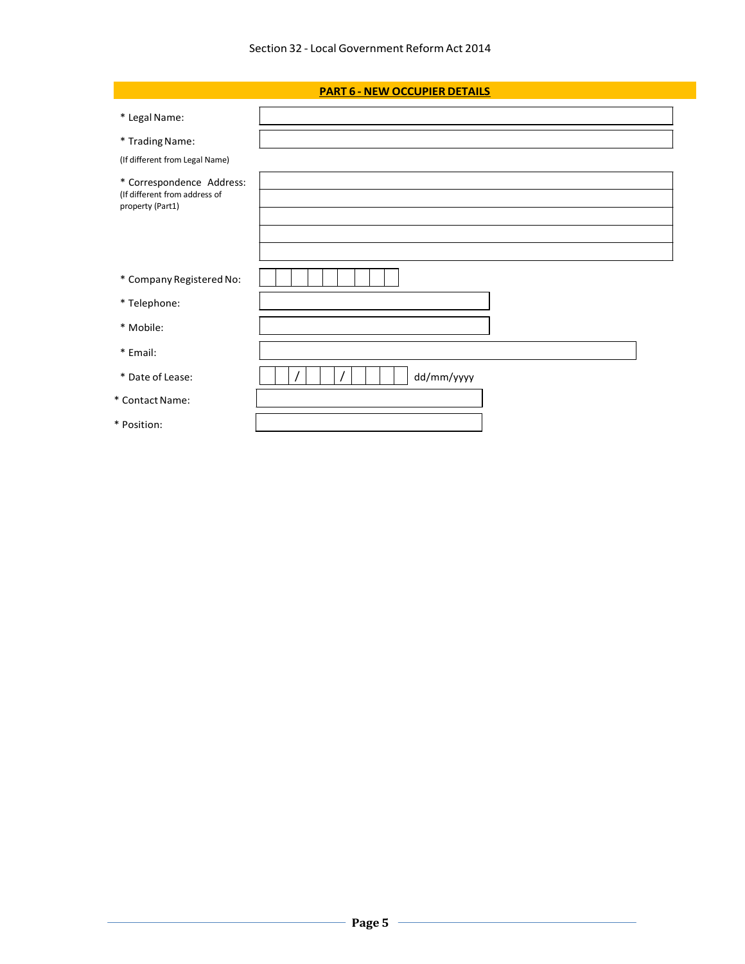## **PART 6 - NEW OCCUPIER DETAILS**

| * Legal Name:                                                                  |            |
|--------------------------------------------------------------------------------|------------|
| * Trading Name:                                                                |            |
| (If different from Legal Name)                                                 |            |
| * Correspondence Address:<br>(If different from address of<br>property (Part1) |            |
|                                                                                |            |
|                                                                                |            |
| * Company Registered No:                                                       |            |
| * Telephone:                                                                   |            |
| * Mobile:                                                                      |            |
| * Email:                                                                       |            |
| * Date of Lease:                                                               | dd/mm/yyyy |
| * Contact Name:                                                                |            |
| * Position:                                                                    |            |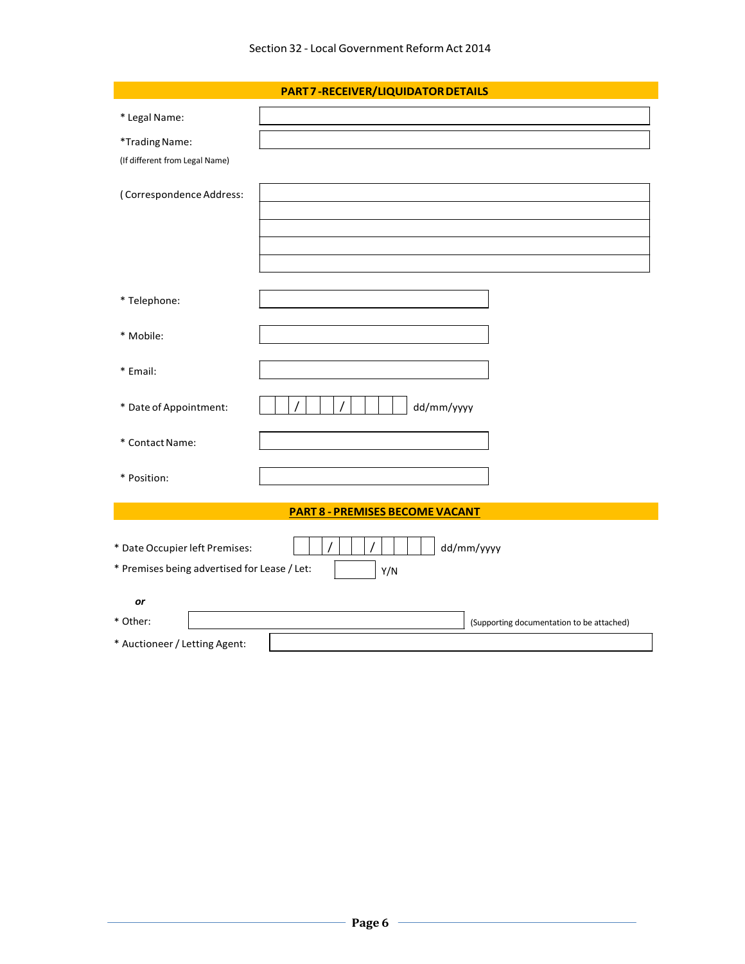|                                              | PART 7 - RECEIVER/LIQUIDATOR DETAILS      |
|----------------------------------------------|-------------------------------------------|
| * Legal Name:                                |                                           |
| *Trading Name:                               |                                           |
| (If different from Legal Name)               |                                           |
| (Correspondence Address:                     |                                           |
|                                              |                                           |
|                                              |                                           |
|                                              |                                           |
| * Telephone:                                 |                                           |
| * Mobile:                                    |                                           |
| * Email:                                     |                                           |
| * Date of Appointment:                       | dd/mm/yyyy                                |
| * Contact Name:                              |                                           |
| * Position:                                  |                                           |
|                                              | <b>PART 8 - PREMISES BECOME VACANT</b>    |
| * Date Occupier left Premises:               | dd/mm/yyyy                                |
| * Premises being advertised for Lease / Let: | Y/N                                       |
| or                                           |                                           |
| * Other:                                     | (Supporting documentation to be attached) |
| * Auctioneer / Letting Agent:                |                                           |